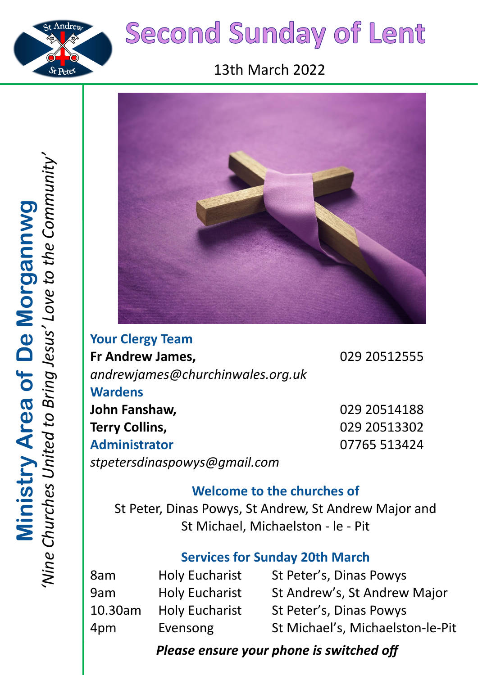

# Second Sunday of Lent

13th March 2022



**Your Clergy Team Fr Andrew James,** 029 20512555 *andrewjames@churchinwales.org.uk* **Wardens John Fanshaw,** 029 20514188 **Terry Collins,** 029 20513302 **Administrator** 07765 513424 *stpetersdinaspowys@gmail.com*

# **Welcome to the churches of**

St Peter, Dinas Powys, St Andrew, St Andrew Major and St Michael, Michaelston - le - Pit

## **Services for Sunday 20th March**

| 8am     | <b>Holy Eucharist</b> | St Peter's, Dinas Powys          |
|---------|-----------------------|----------------------------------|
| 9am     | <b>Holy Eucharist</b> | St Andrew's, St Andrew Major     |
| 10.30am | <b>Holy Eucharist</b> | St Peter's, Dinas Powys          |
| 4pm     | Evensong              | St Michael's, Michaelston-le-Pit |

## *Please ensure your phone is switched off*

*'Nine Churches United to Bring Jesus' Love to the Community'* **Ministry Area of De Morgannwg**<br>Wine Churches United to Bring Jesus' Love to the Community **Ministry Area of De Morgannwg**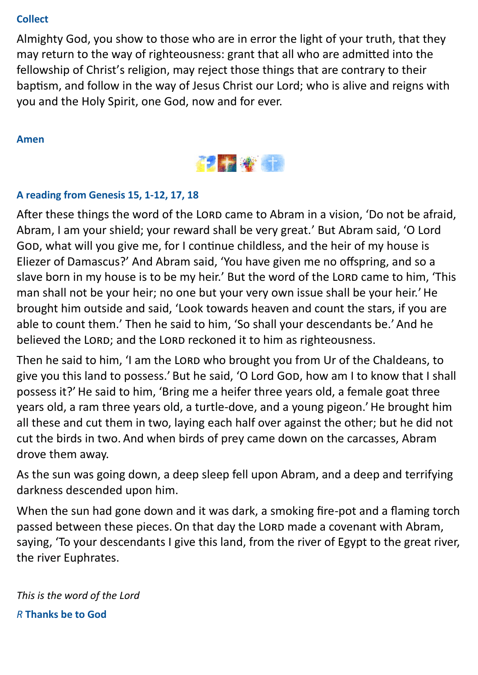### **Collect**

Almighty God, you show to those who are in error the light of your truth, that they may return to the way of righteousness: grant that all who are admitted into the fellowship of Christ's religion, may reject those things that are contrary to their baptism, and follow in the way of Jesus Christ our Lord; who is alive and reigns with you and the Holy Spirit, one God, now and for ever.

#### **Amen**



### **A reading from Genesis 15, 1-12, 17, 18**

After these things the word of the LORD came to Abram in a vision, 'Do not be afraid, Abram, I am your shield; your reward shall be very great.' But Abram said, 'O Lord GOD, what will you give me, for I continue childless, and the heir of my house is Eliezer of Damascus?' And Abram said, 'You have given me no offspring, and so a slave born in my house is to be my heir.' But the word of the LORD came to him, 'This man shall not be your heir; no one but your very own issue shall be your heir.' He brought him outside and said, 'Look towards heaven and count the stars, if you are able to count them.' Then he said to him, 'So shall your descendants be.' And he believed the LORD; and the LORD reckoned it to him as righteousness.

Then he said to him, 'I am the LORD who brought you from Ur of the Chaldeans, to give you this land to possess.' But he said, 'O Lord GOD, how am I to know that I shall possess it?'He said to him, 'Bring me a heifer three years old, a female goat three years old, a ram three years old, a turtle-dove, and a young pigeon.'He brought him all these and cut them in two, laying each half over against the other; but he did not cut the birds in two. And when birds of prey came down on the carcasses, Abram drove them away.

As the sun was going down, a deep sleep fell upon Abram, and a deep and terrifying darkness descended upon him.

When the sun had gone down and it was dark, a smoking fire-pot and a flaming torch passed between these pieces. On that day the LORD made a covenant with Abram, saying, 'To your descendants I give this land, from the river of Egypt to the great river, the river Euphrates.

*This is the word of the Lord R* **Thanks be to God**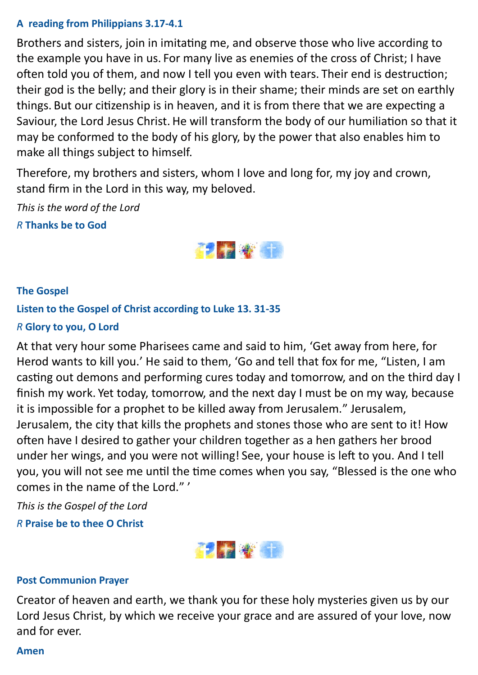## **A reading from Philippians 3.17-4.1**

Brothers and sisters, join in imitating me, and observe those who live according to the example you have in us. For many live as enemies of the cross of Christ; I have often told you of them, and now I tell you even with tears. Their end is destruction; their god is the belly; and their glory is in their shame; their minds are set on earthly things. But our citizenship is in heaven, and it is from there that we are expecting a Saviour, the Lord Jesus Christ. He will transform the body of our humiliation so that it may be conformed to the body of his glory, by the power that also enables him to make all things subject to himself.

Therefore, my brothers and sisters, whom I love and long for, my joy and crown, stand firm in the Lord in this way, my beloved.

*This is the word of the Lord R* **Thanks be to God**



#### **The Gospel**

### **Listen to the Gospel of Christ according to Luke 13. 31-35**

#### *R* **Glory to you, O Lord**

At that very hour some Pharisees came and said to him, 'Get away from here, for Herod wants to kill you.' He said to them, 'Go and tell that fox for me, "Listen, I am casting out demons and performing cures today and tomorrow, and on the third day I finish my work. Yet today, tomorrow, and the next day I must be on my way, because it is impossible for a prophet to be killed away from Jerusalem." Jerusalem, Jerusalem, the city that kills the prophets and stones those who are sent to it! How often have I desired to gather your children together as a hen gathers her brood under her wings, and you were not willing! See, your house is left to you. And I tell you, you will not see me until the time comes when you say, "Blessed is the one who comes in the name of the Lord." '

*This is the Gospel of the Lord R* **Praise be to thee O Christ**



#### **Post Communion Prayer**

Creator of heaven and earth, we thank you for these holy mysteries given us by our Lord Jesus Christ, by which we receive your grace and are assured of your love, now and for ever.